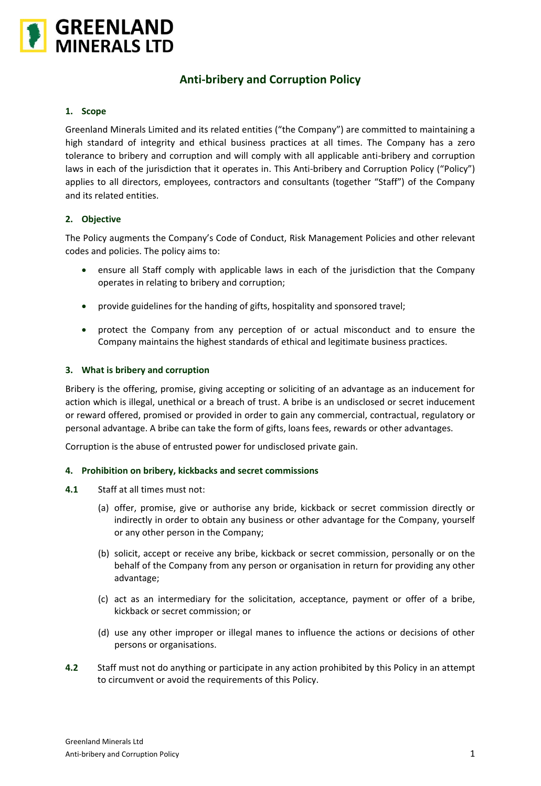

# **Anti-bribery and Corruption Policy**

# **1. Scope**

Greenland Minerals Limited and its related entities ("the Company") are committed to maintaining a high standard of integrity and ethical business practices at all times. The Company has a zero tolerance to bribery and corruption and will comply with all applicable anti-bribery and corruption laws in each of the jurisdiction that it operates in. This Anti-bribery and Corruption Policy ("Policy") applies to all directors, employees, contractors and consultants (together "Staff") of the Company and its related entities.

#### **2. Objective**

The Policy augments the Company's Code of Conduct, Risk Management Policies and other relevant codes and policies. The policy aims to:

- ensure all Staff comply with applicable laws in each of the jurisdiction that the Company operates in relating to bribery and corruption;
- provide guidelines for the handing of gifts, hospitality and sponsored travel;
- protect the Company from any perception of or actual misconduct and to ensure the Company maintains the highest standards of ethical and legitimate business practices.

#### **3. What is bribery and corruption**

Bribery is the offering, promise, giving accepting or soliciting of an advantage as an inducement for action which is illegal, unethical or a breach of trust. A bribe is an undisclosed or secret inducement or reward offered, promised or provided in order to gain any commercial, contractual, regulatory or personal advantage. A bribe can take the form of gifts, loans fees, rewards or other advantages.

Corruption is the abuse of entrusted power for undisclosed private gain.

#### **4. Prohibition on bribery, kickbacks and secret commissions**

- **4.1** Staff at all times must not:
	- (a) offer, promise, give or authorise any bride, kickback or secret commission directly or indirectly in order to obtain any business or other advantage for the Company, yourself or any other person in the Company;
	- (b) solicit, accept or receive any bribe, kickback or secret commission, personally or on the behalf of the Company from any person or organisation in return for providing any other advantage;
	- (c) act as an intermediary for the solicitation, acceptance, payment or offer of a bribe, kickback or secret commission; or
	- (d) use any other improper or illegal manes to influence the actions or decisions of other persons or organisations.
- **4.2** Staff must not do anything or participate in any action prohibited by this Policy in an attempt to circumvent or avoid the requirements of this Policy.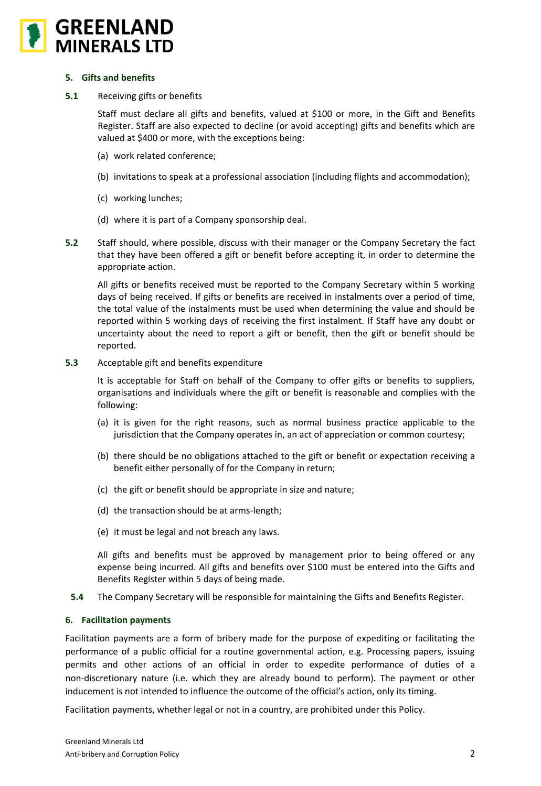

#### **5. Gifts and benefits**

**5.1** Receiving gifts or benefits

Staff must declare all gifts and benefits, valued at \$100 or more, in the Gift and Benefits Register. Staff are also expected to decline (or avoid accepting) gifts and benefits which are valued at \$400 or more, with the exceptions being:

- (a) work related conference;
- (b) invitations to speak at a professional association (including flights and accommodation);
- (c) working lunches;
- (d) where it is part of a Company sponsorship deal.
- **5.2** Staff should, where possible, discuss with their manager or the Company Secretary the fact that they have been offered a gift or benefit before accepting it, in order to determine the appropriate action.

All gifts or benefits received must be reported to the Company Secretary within 5 working days of being received. If gifts or benefits are received in instalments over a period of time, the total value of the instalments must be used when determining the value and should be reported within 5 working days of receiving the first instalment. If Staff have any doubt or uncertainty about the need to report a gift or benefit, then the gift or benefit should be reported.

**5.3** Acceptable gift and benefits expenditure

It is acceptable for Staff on behalf of the Company to offer gifts or benefits to suppliers, organisations and individuals where the gift or benefit is reasonable and complies with the following:

- (a) it is given for the right reasons, such as normal business practice applicable to the jurisdiction that the Company operates in, an act of appreciation or common courtesy;
- (b) there should be no obligations attached to the gift or benefit or expectation receiving a benefit either personally of for the Company in return;
- (c) the gift or benefit should be appropriate in size and nature;
- (d) the transaction should be at arms-length;
- (e) it must be legal and not breach any laws.

All gifts and benefits must be approved by management prior to being offered or any expense being incurred. All gifts and benefits over \$100 must be entered into the Gifts and Benefits Register within 5 days of being made.

**5.4** The Company Secretary will be responsible for maintaining the Gifts and Benefits Register.

# **6. Facilitation payments**

Facilitation payments are a form of bribery made for the purpose of expediting or facilitating the performance of a public official for a routine governmental action, e.g. Processing papers, issuing permits and other actions of an official in order to expedite performance of duties of a non-discretionary nature (i.e. which they are already bound to perform). The payment or other inducement is not intended to influence the outcome of the official's action, only its timing.

Facilitation payments, whether legal or not in a country, are prohibited under this Policy.